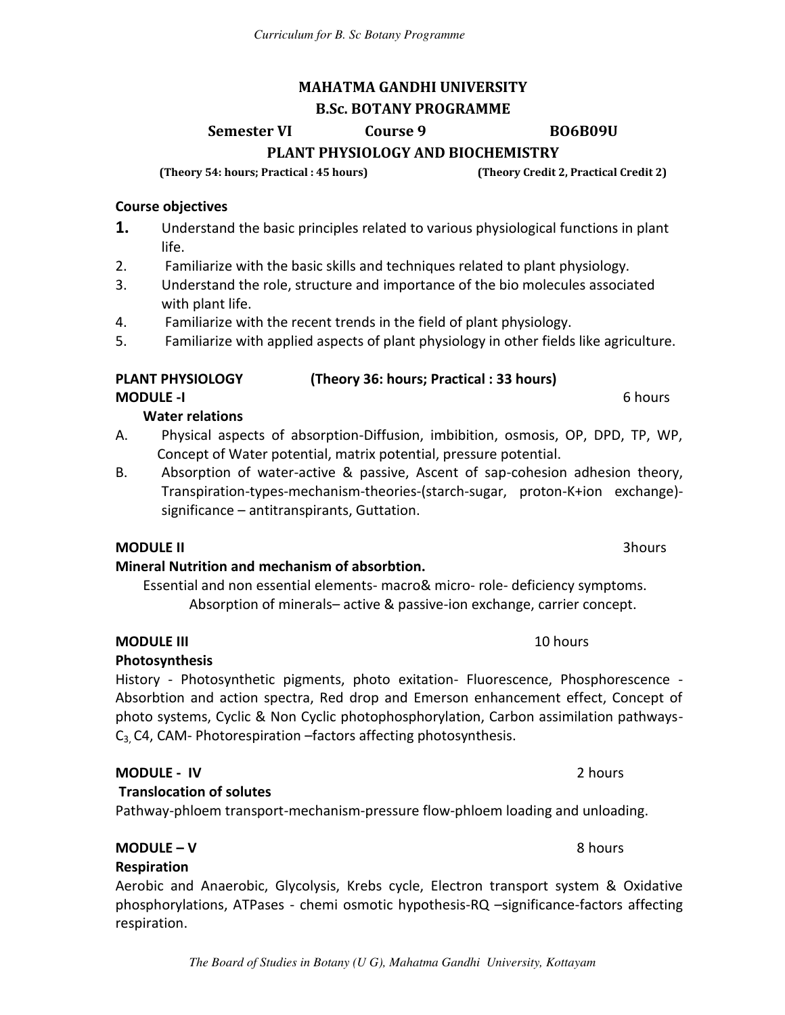# **MAHATMA GANDHI UNIVERSITY**

*Curriculum for B. Sc Botany Programme*

#### **B.Sc. BOTANY PROGRAMME**

**Semester VI Course 9 BO6B09U** 

**PLANT PHYSIOLOGY AND BIOCHEMISTRY** 

**(Theory 54: hours; Practical : 45 hours) (Theory Credit 2, Practical Credit 2)** 

#### **Course objectives**

- **1.** Understand the basic principles related to various physiological functions in plant life.
- 2. Familiarize with the basic skills and techniques related to plant physiology.
- 3. Understand the role, structure and importance of the bio molecules associated with plant life.
- 4. Familiarize with the recent trends in the field of plant physiology.
- 5. Familiarize with applied aspects of plant physiology in other fields like agriculture.

#### **PLANT PHYSIOLOGY (Theory 36: hours; Practical : 33 hours)**

**MODULE -I** 6 hours

#### **Water relations**

- A. Physical aspects of absorption-Diffusion, imbibition, osmosis, OP, DPD, TP, WP, Concept of Water potential, matrix potential, pressure potential.
- B. Absorption of water-active & passive, Ascent of sap-cohesion adhesion theory, Transpiration-types-mechanism-theories-(starch-sugar, proton-K+ion exchange) significance – antitranspirants, Guttation.

#### **MODULE II** 3hours

#### **Mineral Nutrition and mechanism of absorbtion.**

Essential and non essential elements- macro& micro- role- deficiency symptoms. Absorption of minerals– active & passive-ion exchange, carrier concept.

#### **MODULE III 10 hours**

#### **Photosynthesis**

History - Photosynthetic pigments, photo exitation- Fluorescence, Phosphorescence - Absorbtion and action spectra, Red drop and Emerson enhancement effect, Concept of photo systems, Cyclic & Non Cyclic photophosphorylation, Carbon assimilation pathways- $C_3$ , C4, CAM- Photorespiration –factors affecting photosynthesis.

#### **MODULE - IV** 2 hours

#### **Translocation of solutes**

### Pathway-phloem transport-mechanism-pressure flow-phloem loading and unloading.

# **Respiration**

Aerobic and Anaerobic, Glycolysis, Krebs cycle, Electron transport system & Oxidative phosphorylations, ATPases - chemi osmotic hypothesis-RQ –significance-factors affecting respiration.

**MODULE – V** 8 hours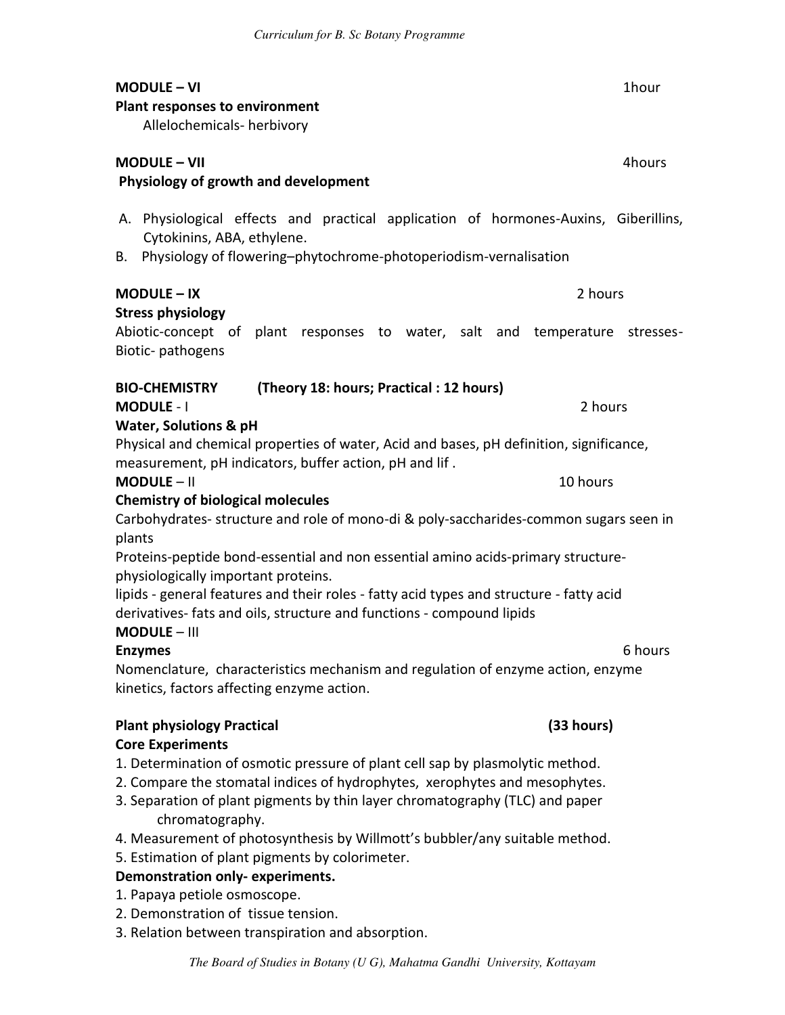| <b>MODULE - VI</b><br><b>Plant responses to environment</b><br>Allelochemicals- herbivory                                                                                                      | 1hour   |  |  |
|------------------------------------------------------------------------------------------------------------------------------------------------------------------------------------------------|---------|--|--|
| <b>MODULE - VII</b><br>Physiology of growth and development                                                                                                                                    | 4hours  |  |  |
| Physiological effects and practical application of hormones-Auxins, Giberillins,<br>А.<br>Cytokinins, ABA, ethylene.<br>Physiology of flowering-phytochrome-photoperiodism-vernalisation<br>В. |         |  |  |
| 2 hours<br><b>MODULE - IX</b>                                                                                                                                                                  |         |  |  |
| <b>Stress physiology</b><br>Abiotic-concept of<br>plant responses to water, salt and temperature stresses-<br>Biotic-pathogens                                                                 |         |  |  |
| <b>BIO-CHEMISTRY</b><br>(Theory 18: hours; Practical: 12 hours)                                                                                                                                |         |  |  |
| 2 hours<br><b>MODULE - I</b>                                                                                                                                                                   |         |  |  |
| <b>Water, Solutions &amp; pH</b>                                                                                                                                                               |         |  |  |
| Physical and chemical properties of water, Acid and bases, pH definition, significance,<br>measurement, pH indicators, buffer action, pH and lif.                                              |         |  |  |
| $MODULE - II$<br>10 hours                                                                                                                                                                      |         |  |  |
| <b>Chemistry of biological molecules</b>                                                                                                                                                       |         |  |  |
| Carbohydrates- structure and role of mono-di & poly-saccharides-common sugars seen in<br>plants                                                                                                |         |  |  |
| Proteins-peptide bond-essential and non essential amino acids-primary structure-<br>physiologically important proteins.                                                                        |         |  |  |
| lipids - general features and their roles - fatty acid types and structure - fatty acid                                                                                                        |         |  |  |
| derivatives- fats and oils, structure and functions - compound lipids<br><b>MODULE - III</b>                                                                                                   |         |  |  |
| <b>Enzymes</b>                                                                                                                                                                                 | 6 hours |  |  |
| Nomenclature, characteristics mechanism and regulation of enzyme action, enzyme                                                                                                                |         |  |  |
| kinetics, factors affecting enzyme action.                                                                                                                                                     |         |  |  |
| (33 hours)<br><b>Plant physiology Practical</b>                                                                                                                                                |         |  |  |
| <b>Core Experiments</b>                                                                                                                                                                        |         |  |  |
| 1. Determination of osmotic pressure of plant cell sap by plasmolytic method.                                                                                                                  |         |  |  |
| 2. Compare the stomatal indices of hydrophytes, xerophytes and mesophytes.                                                                                                                     |         |  |  |
| 3. Separation of plant pigments by thin layer chromatography (TLC) and paper<br>chromatography.                                                                                                |         |  |  |
| 4. Measurement of photosynthesis by Willmott's bubbler/any suitable method.                                                                                                                    |         |  |  |
| 5. Estimation of plant pigments by colorimeter.                                                                                                                                                |         |  |  |

- **Demonstration only- experiments.**
- 1. Papaya petiole osmoscope.
- 2. Demonstration of tissue tension.
- 3. Relation between transpiration and absorption.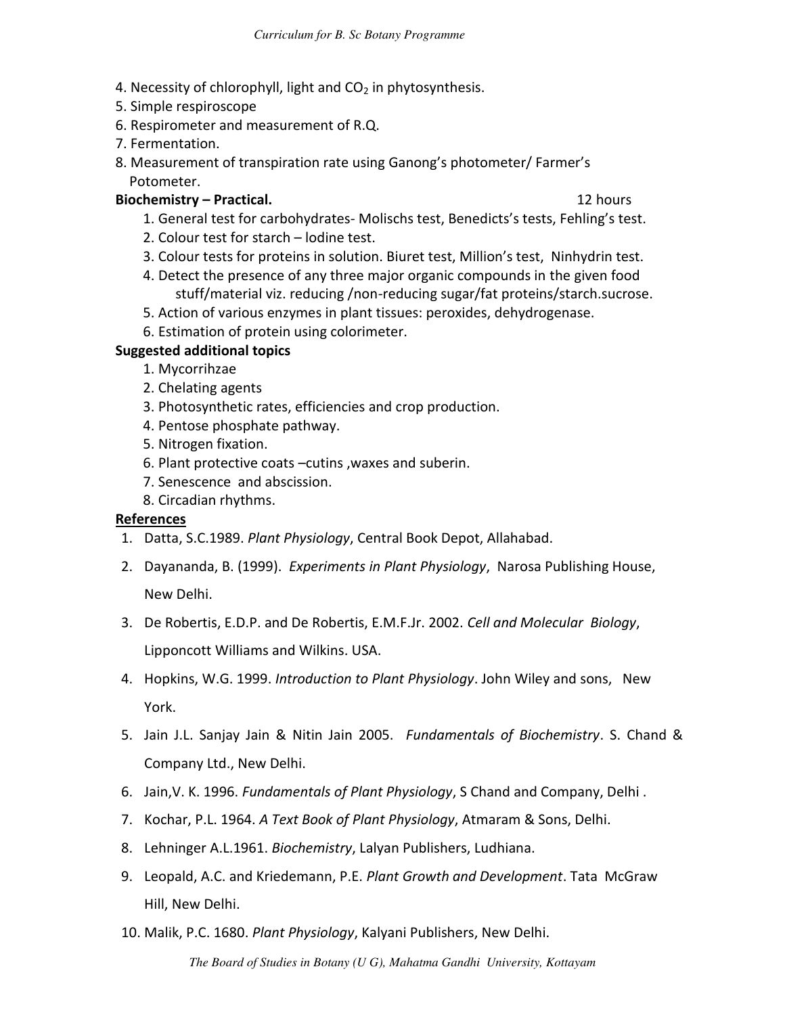- 4. Necessity of chlorophyll, light and  $CO<sub>2</sub>$  in phytosynthesis.
- 5. Simple respiroscope
- 6. Respirometer and measurement of R.Q.
- 7. Fermentation.
- 8. Measurement of transpiration rate using Ganong's photometer/ Farmer's Potometer.

#### **Biochemistry – Practical.** 12 hours

- 1. General test for carbohydrates- Molischs test, Benedicts's tests, Fehling's test.
- 2. Colour test for starch lodine test.
- 3. Colour tests for proteins in solution. Biuret test, Million's test, Ninhydrin test.
- 4. Detect the presence of any three major organic compounds in the given food stuff/material viz. reducing /non-reducing sugar/fat proteins/starch.sucrose.
- 5. Action of various enzymes in plant tissues: peroxides, dehydrogenase.
- 6. Estimation of protein using colorimeter.

#### **Suggested additional topics**

- 1. Mycorrihzae
- 2. Chelating agents
- 3. Photosynthetic rates, efficiencies and crop production.
- 4. Pentose phosphate pathway.
- 5. Nitrogen fixation.
- 6. Plant protective coats –cutins ,waxes and suberin.
- 7. Senescence and abscission.
- 8. Circadian rhythms.

#### **References**

- 1. Datta, S.C.1989. *Plant Physiology*, Central Book Depot, Allahabad.
- 2. Dayananda, B. (1999). *Experiments in Plant Physiology*, Narosa Publishing House,

New Delhi.

- 3. De Robertis, E.D.P. and De Robertis, E.M.F.Jr. 2002. *Cell and Molecular Biology*, Lipponcott Williams and Wilkins. USA.
- 4. Hopkins, W.G. 1999. *Introduction to Plant Physiology*. John Wiley and sons, New York.
- 5. Jain J.L. Sanjay Jain & Nitin Jain 2005. *Fundamentals of Biochemistry*. S. Chand & Company Ltd., New Delhi.
- 6. Jain,V. K. 1996. *Fundamentals of Plant Physiology*, S Chand and Company, Delhi .
- 7. Kochar, P.L. 1964. *A Text Book of Plant Physiology*, Atmaram & Sons, Delhi.
- 8. Lehninger A.L.1961. *Biochemistry*, Lalyan Publishers, Ludhiana.
- 9. Leopald, A.C. and Kriedemann, P.E. *Plant Growth and Development*. Tata McGraw Hill, New Delhi.
- 10. Malik, P.C. 1680. *Plant Physiology*, Kalyani Publishers, New Delhi.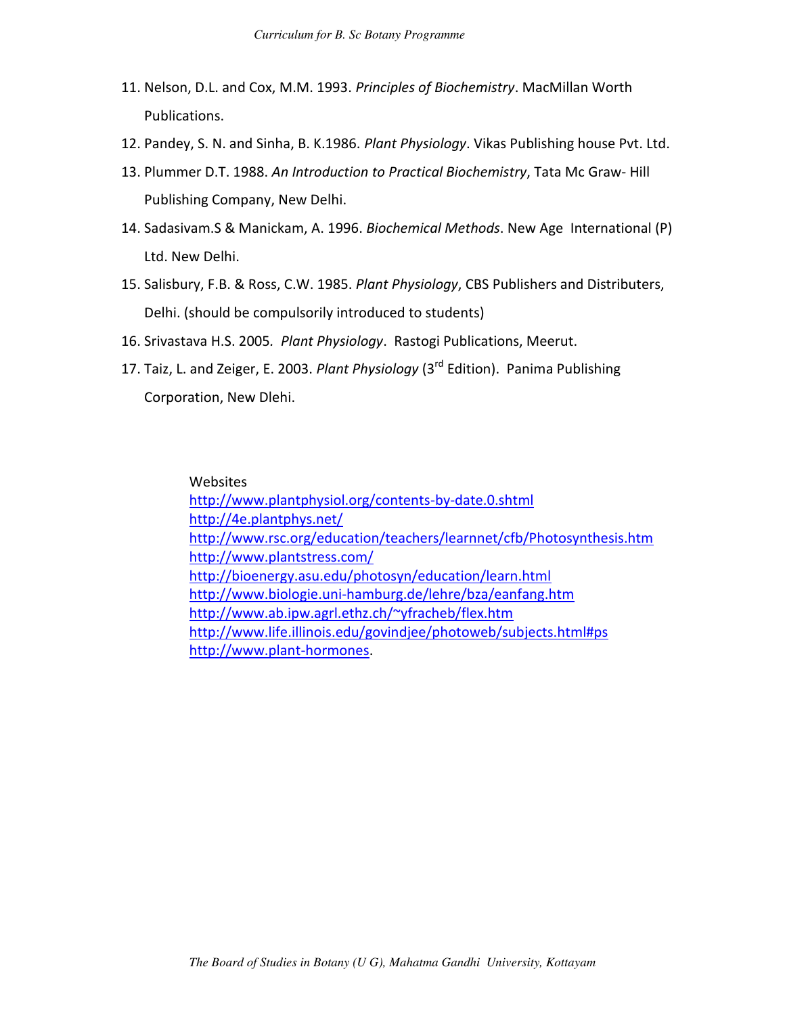- 11. Nelson, D.L. and Cox, M.M. 1993. *Principles of Biochemistry*. MacMillan Worth Publications.
- 12. Pandey, S. N. and Sinha, B. K.1986. *Plant Physiology*. Vikas Publishing house Pvt. Ltd.
- 13. Plummer D.T. 1988. *An Introduction to Practical Biochemistry*, Tata Mc Graw- Hill Publishing Company, New Delhi.
- 14. Sadasivam.S & Manickam, A. 1996. *Biochemical Methods*. New Age International (P) Ltd. New Delhi.
- 15. Salisbury, F.B. & Ross, C.W. 1985. *Plant Physiology*, CBS Publishers and Distributers, Delhi. (should be compulsorily introduced to students)
- 16. Srivastava H.S. 2005*. Plant Physiology*. Rastogi Publications, Meerut.
- 17. Taiz, L. and Zeiger, E. 2003. *Plant Physiology* (3rd Edition). Panima Publishing Corporation, New Dlehi.

Websites <http://www.plantphysiol.org/contents-by-date.0.shtml> <http://4e.plantphys.net/> <http://www.rsc.org/education/teachers/learnnet/cfb/Photosynthesis.htm> <http://www.plantstress.com/> <http://bioenergy.asu.edu/photosyn/education/learn.html> <http://www.biologie.uni-hamburg.de/lehre/bza/eanfang.htm> <http://www.ab.ipw.agrl.ethz.ch/~yfracheb/flex.htm> <http://www.life.illinois.edu/govindjee/photoweb/subjects.html#ps> [http://www.plant-hormones.](http://www.plant-hormones/)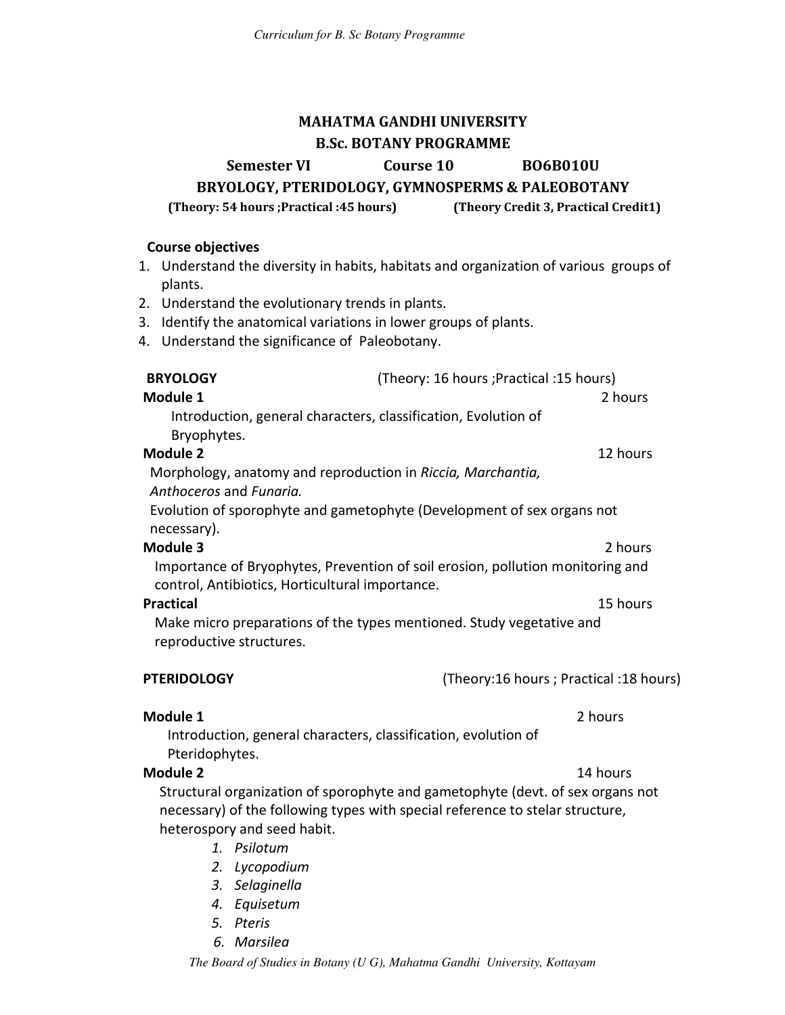### **MAHATMA GANDHI UNIVERSITY B.Sc. BOTANY PROGRAMME**

**Semester VI Course 10 BO6B010U** 

**BRYOLOGY, PTERIDOLOGY, GYMNOSPERMS & PALEOBOTANY** 

#### **(Theory: 54 hours ;Practical :45 hours) (Theory Credit 3, Practical Credit1)**

#### **Course objectives**

- 1. Understand the diversity in habits, habitats and organization of various groups of plants.
- 2. Understand the evolutionary trends in plants.
- 3. Identify the anatomical variations in lower groups of plants.
- 4. Understand the significance of Paleobotany.

| <b>BRYOLOGY</b><br>Module 1<br>Bryophytes. | Introduction, general characters, classification, Evolution of                                                                                                                                 | (Theory: 16 hours ; Practical : 15 hours) | 2 hours  |
|--------------------------------------------|------------------------------------------------------------------------------------------------------------------------------------------------------------------------------------------------|-------------------------------------------|----------|
| <b>Module 2</b>                            |                                                                                                                                                                                                |                                           | 12 hours |
| Anthoceros and Fungrig.                    | Morphology, anatomy and reproduction in Riccia, Marchantia,                                                                                                                                    |                                           |          |
| necessary).                                | Evolution of sporophyte and gametophyte (Development of sex organs not                                                                                                                         |                                           |          |
| Module 3                                   |                                                                                                                                                                                                |                                           | 2 hours  |
|                                            | Importance of Bryophytes, Prevention of soil erosion, pollution monitoring and<br>control, Antibiotics, Horticultural importance.                                                              |                                           |          |
| <b>Practical</b>                           |                                                                                                                                                                                                |                                           | 15 hours |
| reproductive structures.                   | Make micro preparations of the types mentioned. Study vegetative and                                                                                                                           |                                           |          |
| <b>PTERIDOLOGY</b>                         |                                                                                                                                                                                                | (Theory:16 hours ; Practical :18 hours)   |          |
| Module 1                                   |                                                                                                                                                                                                |                                           | 2 hours  |
| Pteridophytes.                             | Introduction, general characters, classification, evolution of                                                                                                                                 |                                           |          |
| <b>Module 2</b>                            |                                                                                                                                                                                                |                                           | 14 hours |
|                                            | Structural organization of sporophyte and gametophyte (devt. of sex organs not<br>necessary) of the following types with special reference to stelar structure,<br>heterospory and seed habit. |                                           |          |
|                                            | 1. Psilotum                                                                                                                                                                                    |                                           |          |
|                                            | 2. Lycopodium                                                                                                                                                                                  |                                           |          |
|                                            | 3. Selaginella                                                                                                                                                                                 |                                           |          |
|                                            |                                                                                                                                                                                                |                                           |          |

- *4. Equisetum*
- *5. Pteris*
- *6. Marsilea*

*The Board of Studies in Botany (U G), Mahatma Gandhi University, Kottayam*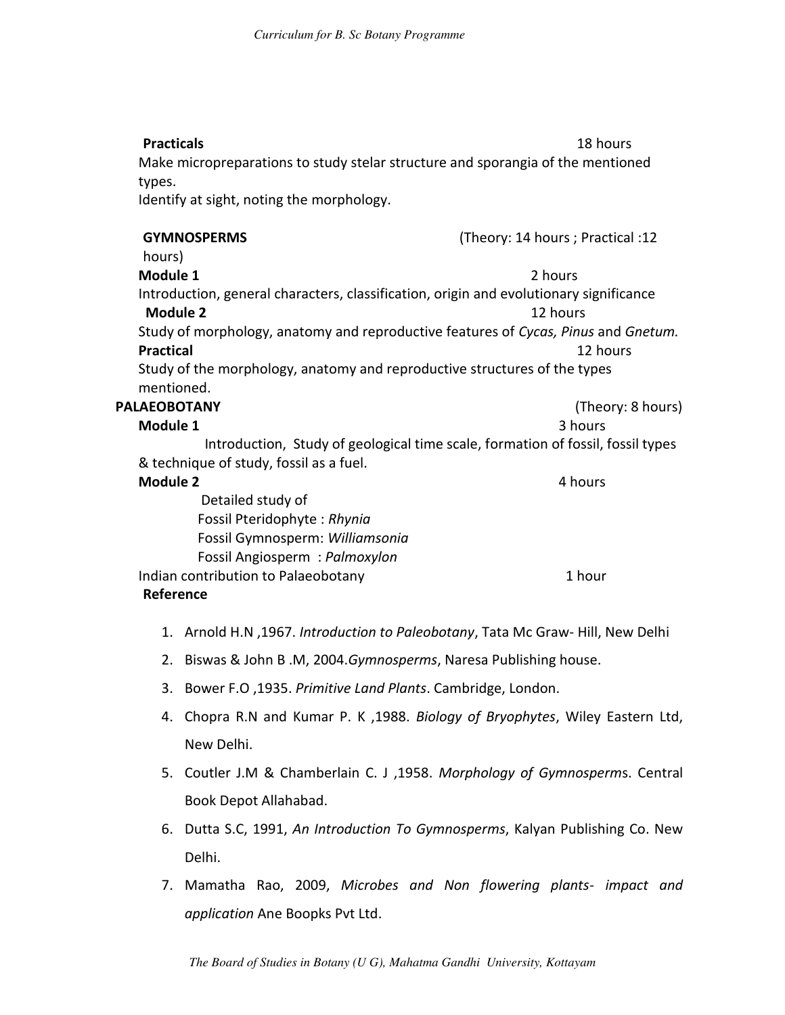| <b>Practicals</b>                                                                       | 18 hours                                                                        |  |
|-----------------------------------------------------------------------------------------|---------------------------------------------------------------------------------|--|
| Make micropreparations to study stelar structure and sporangia of the mentioned         |                                                                                 |  |
| types.                                                                                  |                                                                                 |  |
| Identify at sight, noting the morphology.                                               |                                                                                 |  |
| <b>GYMNOSPERMS</b>                                                                      | (Theory: 14 hours ; Practical :12                                               |  |
| hours)                                                                                  |                                                                                 |  |
| Module 1                                                                                | 2 hours                                                                         |  |
| Introduction, general characters, classification, origin and evolutionary significance  |                                                                                 |  |
| <b>Module 2</b><br>12 hours                                                             |                                                                                 |  |
| Study of morphology, anatomy and reproductive features of Cycas, Pinus and Gnetum.      |                                                                                 |  |
| <b>Practical</b><br>12 hours                                                            |                                                                                 |  |
| Study of the morphology, anatomy and reproductive structures of the types<br>mentioned. |                                                                                 |  |
| <b>PALAEOBOTANY</b>                                                                     | (Theory: 8 hours)                                                               |  |
| Module 1                                                                                | 3 hours                                                                         |  |
|                                                                                         | Introduction, Study of geological time scale, formation of fossil, fossil types |  |
| & technique of study, fossil as a fuel.                                                 |                                                                                 |  |
| <b>Module 2</b>                                                                         | 4 hours                                                                         |  |
| Detailed study of                                                                       |                                                                                 |  |
| Fossil Pteridophyte: Rhynia                                                             |                                                                                 |  |
| Fossil Gymnosperm: Williamsonia                                                         |                                                                                 |  |
| Fossil Angiosperm: Palmoxylon                                                           |                                                                                 |  |
| Indian contribution to Palaeobotany<br>1 hour                                           |                                                                                 |  |
| Reference                                                                               |                                                                                 |  |

- 1. Arnold H.N ,1967. *Introduction to Paleobotany*, Tata Mc Graw- Hill, New Delhi
- 2. Biswas & John B .M, 2004.*Gymnosperms*, Naresa Publishing house.
- 3. Bower F.O ,1935. *Primitive Land Plants*. Cambridge, London.
- 4. Chopra R.N and Kumar P. K ,1988. *Biology of Bryophytes*, Wiley Eastern Ltd, New Delhi.
- 5. Coutler J.M & Chamberlain C. J ,1958. *Morphology of Gymnosperm*s. Central Book Depot Allahabad.
- 6. Dutta S.C, 1991, *An Introduction To Gymnosperms*, Kalyan Publishing Co. New Delhi.
- 7. Mamatha Rao, 2009, *Microbes and Non flowering plants- impact and application* Ane Boopks Pvt Ltd.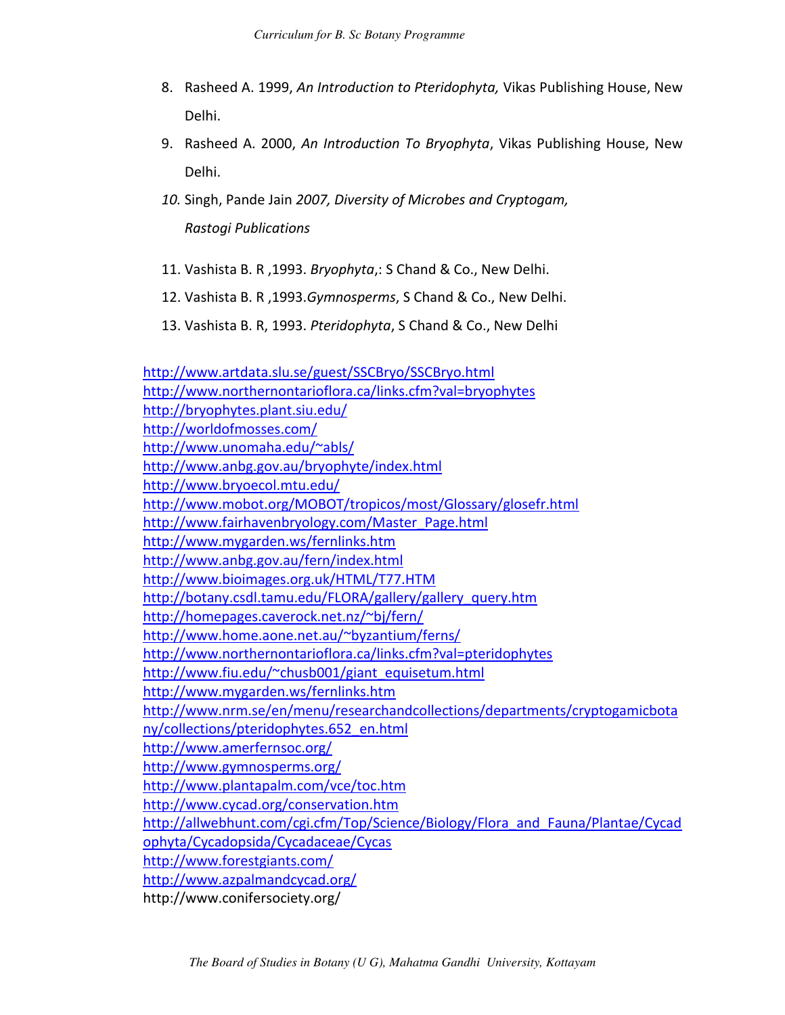- 8. Rasheed A. 1999, *An Introduction to Pteridophyta,* Vikas Publishing House, New Delhi.
- 9. Rasheed A. 2000, *An Introduction To Bryophyta*, Vikas Publishing House, New Delhi.
- *10.* Singh, Pande Jain *2007, Diversity of Microbes and Cryptogam,*

*Rastogi Publications* 

- 11. Vashista B. R ,1993. *Bryophyta*,: S Chand & Co., New Delhi.
- 12. Vashista B. R ,1993.*Gymnosperms*, S Chand & Co., New Delhi.
- 13. Vashista B. R, 1993. *Pteridophyta*, S Chand & Co., New Delhi

<http://www.artdata.slu.se/guest/SSCBryo/SSCBryo.html> <http://www.northernontarioflora.ca/links.cfm?val=bryophytes> <http://bryophytes.plant.siu.edu/> <http://worldofmosses.com/> <http://www.unomaha.edu/~abls/> <http://www.anbg.gov.au/bryophyte/index.html> <http://www.bryoecol.mtu.edu/> <http://www.mobot.org/MOBOT/tropicos/most/Glossary/glosefr.html> [http://www.fairhavenbryology.com/Master\\_Page.html](http://www.fairhavenbryology.com/Master_Page.html) <http://www.mygarden.ws/fernlinks.htm> <http://www.anbg.gov.au/fern/index.html> <http://www.bioimages.org.uk/HTML/T77.HTM> [http://botany.csdl.tamu.edu/FLORA/gallery/gallery\\_query.htm](http://botany.csdl.tamu.edu/FLORA/gallery/gallery_query.htm) <http://homepages.caverock.net.nz/~bj/fern/> <http://www.home.aone.net.au/~byzantium/ferns/> <http://www.northernontarioflora.ca/links.cfm?val=pteridophytes> [http://www.fiu.edu/~chusb001/giant\\_equisetum.html](http://www.fiu.edu/~chusb001/giant_equisetum.html) <http://www.mygarden.ws/fernlinks.htm> [http://www.nrm.se/en/menu/researchandcollections/departments/cryptogamicbota](http://www.nrm.se/en/menu/researchandcollections/departments/cryptogamicbotany/collections/pteridophytes.652_en.html) [ny/collections/pteridophytes.652\\_en.html](http://www.nrm.se/en/menu/researchandcollections/departments/cryptogamicbotany/collections/pteridophytes.652_en.html) <http://www.amerfernsoc.org/> <http://www.gymnosperms.org/> <http://www.plantapalm.com/vce/toc.htm> <http://www.cycad.org/conservation.htm> [http://allwebhunt.com/cgi.cfm/Top/Science/Biology/Flora\\_and\\_Fauna/Plantae/Cycad](http://allwebhunt.com/cgi.cfm/Top/Science/Biology/Flora_and_Fauna/Plantae/Cycadophyta/Cycadopsida/Cycadaceae/Cycas) [ophyta/Cycadopsida/Cycadaceae/Cycas](http://allwebhunt.com/cgi.cfm/Top/Science/Biology/Flora_and_Fauna/Plantae/Cycadophyta/Cycadopsida/Cycadaceae/Cycas) <http://www.forestgiants.com/> <http://www.azpalmandcycad.org/> http://www.conifersociety.org/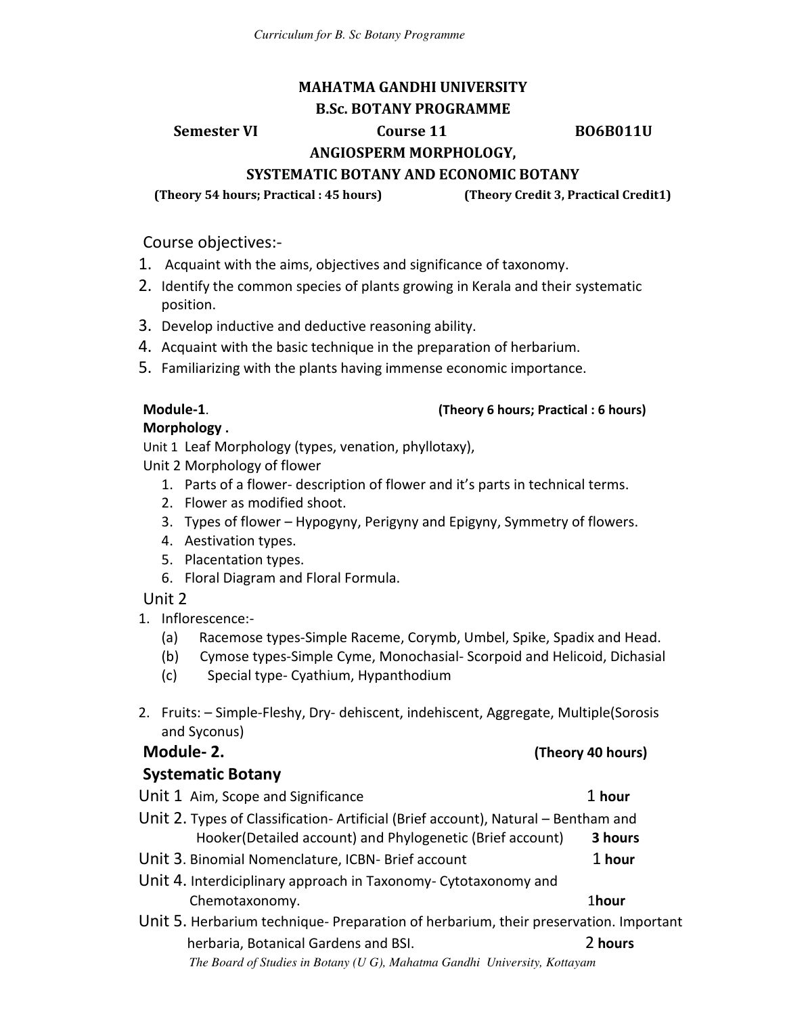### **MAHATMA GANDHI UNIVERSITY B.Sc. BOTANY PROGRAMME**

**Semester VI Course 11 BO6B011U** 

**ANGIOSPERM MORPHOLOGY,** 

### **SYSTEMATIC BOTANY AND ECONOMIC BOTANY**

**(Theory 54 hours; Practical : 45 hours) (Theory Credit 3, Practical Credit1)** 

Course objectives:-

- 1. Acquaint with the aims, objectives and significance of taxonomy.
- 2. Identify the common species of plants growing in Kerala and their systematic position.
- 3. Develop inductive and deductive reasoning ability.
- 4. Acquaint with the basic technique in the preparation of herbarium.
- 5. Familiarizing with the plants having immense economic importance.

#### **Module-1**. **(Theory 6 hours; Practical : 6 hours)**

### **Morphology .**

Unit 1 Leaf Morphology (types, venation, phyllotaxy),

- Unit 2 Morphology of flower
	- 1. Parts of a flower- description of flower and it's parts in technical terms.
	- 2. Flower as modified shoot.
	- 3. Types of flower Hypogyny, Perigyny and Epigyny, Symmetry of flowers.
	- 4. Aestivation types.
	- 5. Placentation types.
	- 6. Floral Diagram and Floral Formula.

### Unit 2

- 1. Inflorescence:-
	- (a) Racemose types-Simple Raceme, Corymb, Umbel, Spike, Spadix and Head.
	- (b) Cymose types-Simple Cyme, Monochasial- Scorpoid and Helicoid, Dichasial
	- (c) Special type- Cyathium, Hypanthodium
- 2. Fruits: Simple-Fleshy, Dry- dehiscent, indehiscent, Aggregate, Multiple(Sorosis and Syconus)

**Module- 2. (Theory 40 hours)**

| , , , , , <del>, , , , , , , , , , ,</del>                                           |         |
|--------------------------------------------------------------------------------------|---------|
| <b>Systematic Botany</b>                                                             |         |
| Unit 1 Aim, Scope and Significance                                                   | 1 hour  |
| Unit 2. Types of Classification- Artificial (Brief account), Natural - Bentham and   |         |
| Hooker(Detailed account) and Phylogenetic (Brief account)                            | 3 hours |
| Unit 3. Binomial Nomenclature, ICBN- Brief account                                   | 1 hour  |
| Unit 4. Interdiciplinary approach in Taxonomy-Cytotaxonomy and                       |         |
| Chemotaxonomy.                                                                       | 1hour   |
| Unit 5. Herbarium technique- Preparation of herbarium, their preservation. Important |         |
| herbaria, Botanical Gardens and BSI.                                                 | 2 hours |
| The Board of Studies in Botany (U G), Mahatma Gandhi University, Kottayam            |         |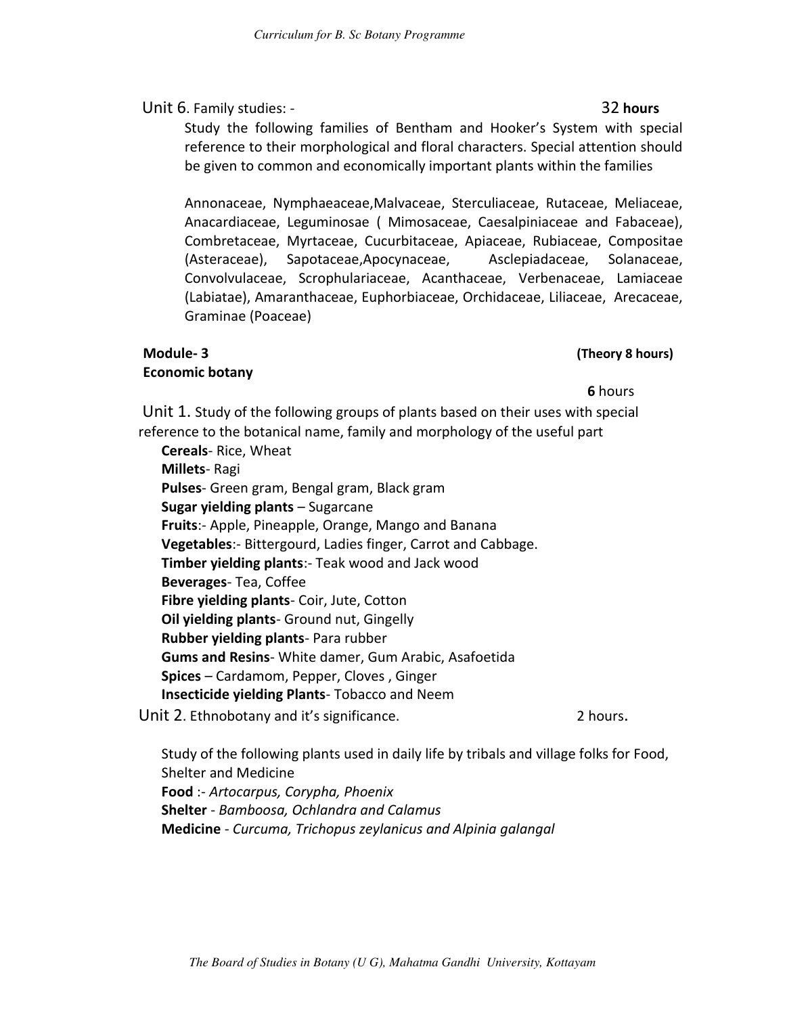#### Unit 6. Family studies: - 32 hours

Study the following families of Bentham and Hooker's System with special reference to their morphological and floral characters. Special attention should be given to common and economically important plants within the families

Annonaceae, Nymphaeaceae,Malvaceae, Sterculiaceae, Rutaceae, Meliaceae, Anacardiaceae, Leguminosae ( Mimosaceae, Caesalpiniaceae and Fabaceae), Combretaceae, Myrtaceae, Cucurbitaceae, Apiaceae, Rubiaceae, Compositae (Asteraceae), Sapotaceae,Apocynaceae, Asclepiadaceae, Solanaceae, Convolvulaceae, Scrophulariaceae, Acanthaceae, Verbenaceae, Lamiaceae (Labiatae), Amaranthaceae, Euphorbiaceae, Orchidaceae, Liliaceae, Arecaceae, Graminae (Poaceae)

#### **Module- 3 (Theory 8 hours) Economic botany**

#### **6** hours **6** hours

 Unit 1. Study of the following groups of plants based on their uses with special reference to the botanical name, family and morphology of the useful part

**Cereals**- Rice, Wheat **Millets**- Ragi **Pulses**- Green gram, Bengal gram, Black gram **Sugar yielding plants** – Sugarcane **Fruits**:- Apple, Pineapple, Orange, Mango and Banana **Vegetables**:- Bittergourd, Ladies finger, Carrot and Cabbage. **Timber yielding plants**:- Teak wood and Jack wood **Beverages**- Tea, Coffee **Fibre yielding plants**- Coir, Jute, Cotton **Oil yielding plants**- Ground nut, Gingelly **Rubber yielding plants**- Para rubber **Gums and Resins**- White damer, Gum Arabic, Asafoetida **Spices** – Cardamom, Pepper, Cloves , Ginger **Insecticide yielding Plants**- Tobacco and Neem

Unit 2. Ethnobotany and it's significance. 2 hours.

Study of the following plants used in daily life by tribals and village folks for Food, Shelter and Medicine **Food** :- *Artocarpus, Corypha, Phoenix* **Shelter** - *Bamboosa, Ochlandra and Calamus* **Medicine** - *Curcuma, Trichopus zeylanicus and Alpinia galangal*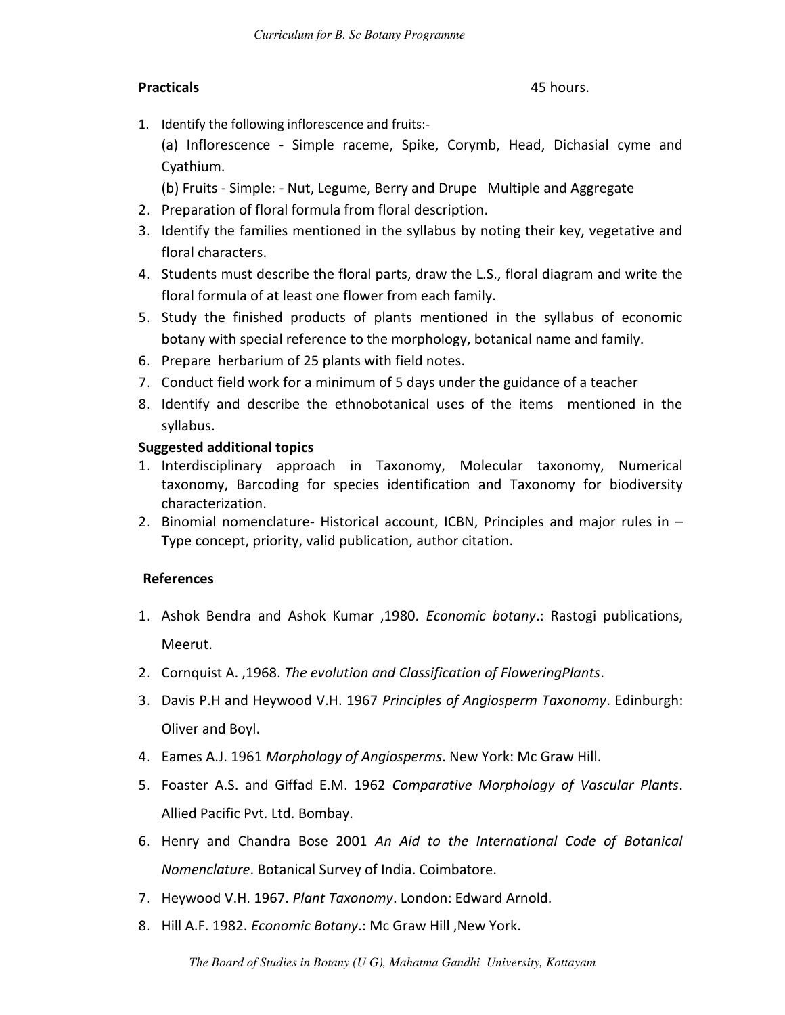#### **Practicals** 45 hours.

1. Identify the following inflorescence and fruits:-

(a) Inflorescence - Simple raceme, Spike, Corymb, Head, Dichasial cyme and Cyathium.

(b) Fruits - Simple: - Nut, Legume, Berry and Drupe Multiple and Aggregate

- 2. Preparation of floral formula from floral description.
- 3. Identify the families mentioned in the syllabus by noting their key, vegetative and floral characters.
- 4. Students must describe the floral parts, draw the L.S., floral diagram and write the floral formula of at least one flower from each family.
- 5. Study the finished products of plants mentioned in the syllabus of economic botany with special reference to the morphology, botanical name and family.
- 6. Prepare herbarium of 25 plants with field notes.
- 7. Conduct field work for a minimum of 5 days under the guidance of a teacher
- 8. Identify and describe the ethnobotanical uses of the items mentioned in the syllabus.

#### **Suggested additional topics**

- 1. Interdisciplinary approach in Taxonomy, Molecular taxonomy, Numerical taxonomy, Barcoding for species identification and Taxonomy for biodiversity characterization.
- 2. Binomial nomenclature- Historical account, ICBN, Principles and major rules in Type concept, priority, valid publication, author citation.

#### **References**

- 1. Ashok Bendra and Ashok Kumar ,1980. *Economic botany*.: Rastogi publications, Meerut.
- 2. Cornquist A. ,1968. *The evolution and Classification of FloweringPlants*.
- 3. Davis P.H and Heywood V.H. 1967 *Principles of Angiosperm Taxonomy*. Edinburgh: Oliver and Boyl.
- 4. Eames A.J. 1961 *Morphology of Angiosperms*. New York: Mc Graw Hill.
- 5. Foaster A.S. and Giffad E.M. 1962 *Comparative Morphology of Vascular Plants*. Allied Pacific Pvt. Ltd. Bombay.
- 6. Henry and Chandra Bose 2001 *An Aid to the International Code of Botanical Nomenclature*. Botanical Survey of India. Coimbatore.
- 7. Heywood V.H. 1967. *Plant Taxonomy*. London: Edward Arnold.
- 8. Hill A.F. 1982. *Economic Botany*.: Mc Graw Hill ,New York.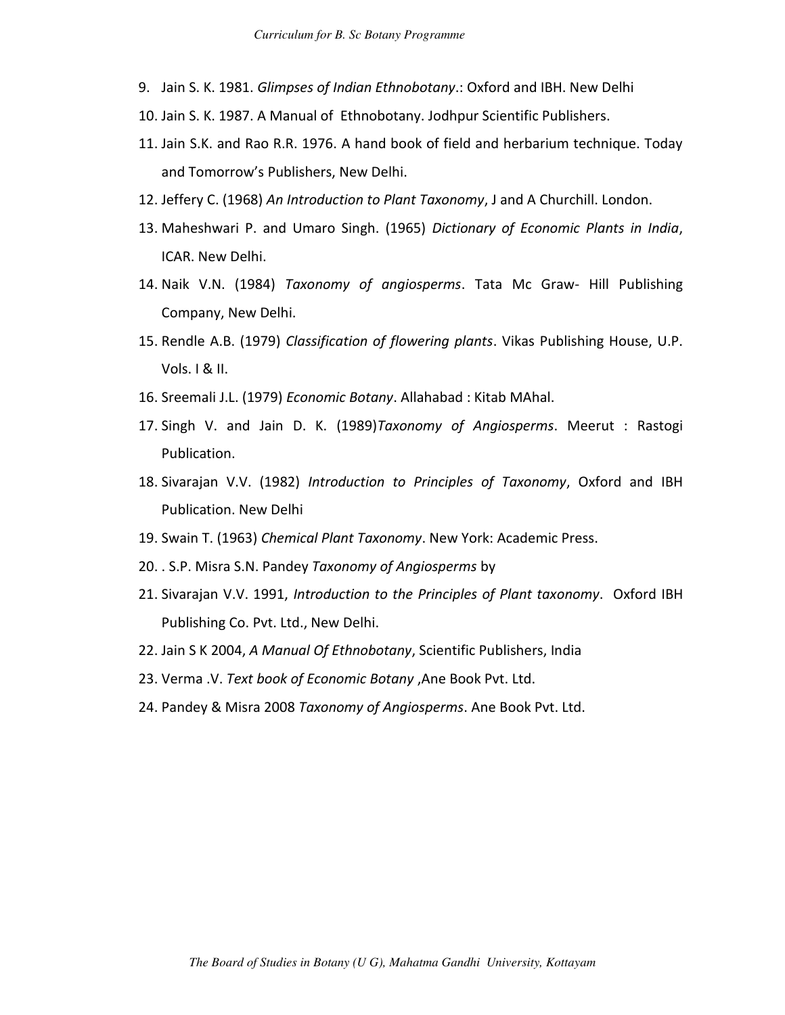- 9. Jain S. K. 1981. *Glimpses of Indian Ethnobotany*.: Oxford and IBH. New Delhi
- 10. Jain S. K. 1987. A Manual of Ethnobotany. Jodhpur Scientific Publishers.
- 11. Jain S.K. and Rao R.R. 1976. A hand book of field and herbarium technique. Today and Tomorrow's Publishers, New Delhi.
- 12. Jeffery C. (1968) *An Introduction to Plant Taxonomy*, J and A Churchill. London.
- 13. Maheshwari P. and Umaro Singh. (1965) *Dictionary of Economic Plants in India*, ICAR. New Delhi.
- 14. Naik V.N. (1984) *Taxonomy of angiosperms*. Tata Mc Graw- Hill Publishing Company, New Delhi.
- 15. Rendle A.B. (1979) *Classification of flowering plants*. Vikas Publishing House, U.P. Vols. I & II.
- 16. Sreemali J.L. (1979) *Economic Botany*. Allahabad : Kitab MAhal.
- 17. Singh V. and Jain D. K. (1989)*Taxonomy of Angiosperms*. Meerut : Rastogi Publication.
- 18. Sivarajan V.V. (1982) *Introduction to Principles of Taxonomy*, Oxford and IBH Publication. New Delhi
- 19. Swain T. (1963) *Chemical Plant Taxonomy*. New York: Academic Press.
- 20. . S.P. Misra S.N. Pandey *Taxonomy of Angiosperms* by
- 21. Sivarajan V.V. 1991, *Introduction to the Principles of Plant taxonomy*. Oxford IBH Publishing Co. Pvt. Ltd., New Delhi.
- 22. Jain S K 2004, *A Manual Of Ethnobotany*, Scientific Publishers, India
- 23. Verma .V. *Text book of Economic Botany* ,Ane Book Pvt. Ltd.
- 24. Pandey & Misra 2008 *Taxonomy of Angiosperms*. Ane Book Pvt. Ltd.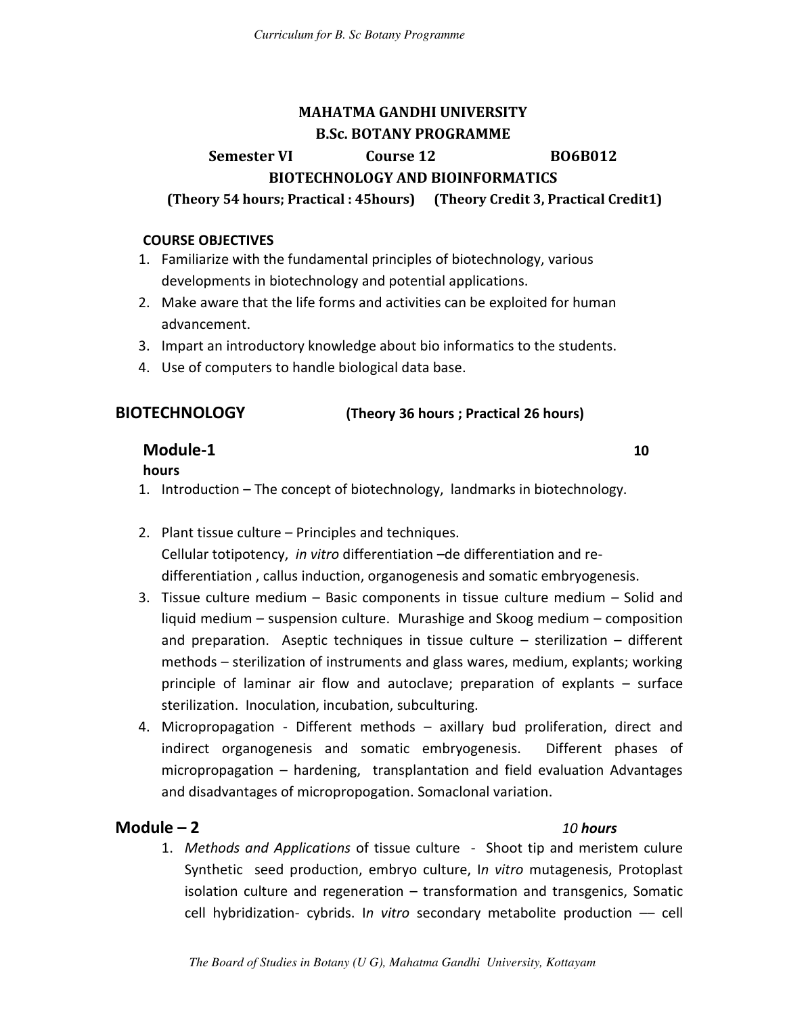## **MAHATMA GANDHI UNIVERSITY B.Sc. BOTANY PROGRAMME**

### **Semester VI Course 12 BO6B012 BIOTECHNOLOGY AND BIOINFORMATICS**

 **(Theory 54 hours; Practical : 45hours) (Theory Credit 3, Practical Credit1)** 

#### **COURSE OBJECTIVES**

- 1. Familiarize with the fundamental principles of biotechnology, various developments in biotechnology and potential applications.
- 2. Make aware that the life forms and activities can be exploited for human advancement.
- 3. Impart an introductory knowledge about bio informatics to the students.
- 4. Use of computers to handle biological data base.

#### **BIOTECHNOLOGY (Theory 36 hours ; Practical 26 hours)**

### **Module-1 10**

#### **hours**

- 1. Introduction The concept of biotechnology, landmarks in biotechnology.
- 2. Plant tissue culture Principles and techniques. Cellular totipotency, *in vitro* differentiation –de differentiation and redifferentiation , callus induction, organogenesis and somatic embryogenesis.
- 3. Tissue culture medium Basic components in tissue culture medium Solid and liquid medium – suspension culture. Murashige and Skoog medium – composition and preparation. Aseptic techniques in tissue culture – sterilization – different methods – sterilization of instruments and glass wares, medium, explants; working principle of laminar air flow and autoclave; preparation of explants – surface sterilization. Inoculation, incubation, subculturing.
- 4. Micropropagation Different methods axillary bud proliferation, direct and indirect organogenesis and somatic embryogenesis. Different phases of micropropagation – hardening, transplantation and field evaluation Advantages and disadvantages of micropropogation. Somaclonal variation.

### **Module – 2** *10 hours*

1. *Methods and Applications* of tissue culture - Shoot tip and meristem culure Synthetic seed production, embryo culture, I*n vitro* mutagenesis, Protoplast isolation culture and regeneration – transformation and transgenics, Somatic cell hybridization- cybrids. I*n vitro* secondary metabolite production –– cell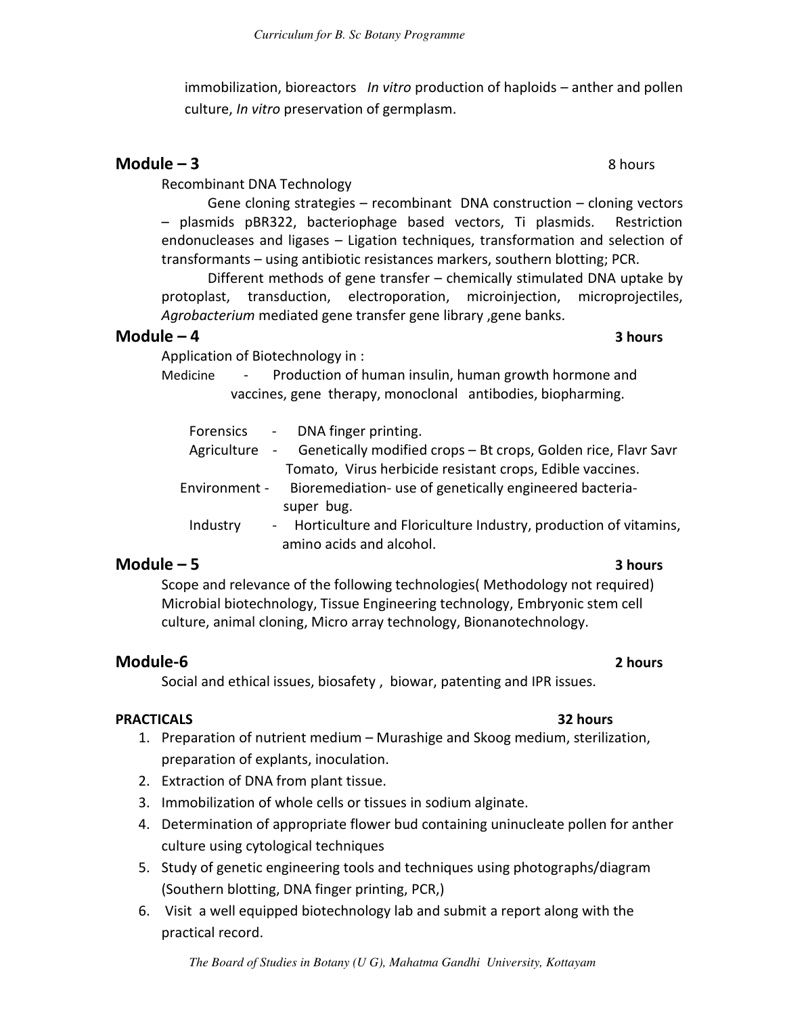immobilization, bioreactors *In vitro* production of haploids – anther and pollen culture, *In vitro* preservation of germplasm.

### **Module – 3** 8 hours

Recombinant DNA Technology

Gene cloning strategies – recombinant DNA construction – cloning vectors – plasmids pBR322, bacteriophage based vectors, Ti plasmids. Restriction endonucleases and ligases – Ligation techniques, transformation and selection of transformants – using antibiotic resistances markers, southern blotting; PCR.

Different methods of gene transfer – chemically stimulated DNA uptake by protoplast, transduction, electroporation, microinjection, microprojectiles, *Agrobacterium* mediated gene transfer gene library ,gene banks.

#### **Module – 4 3 hours**

Application of Biotechnology in :

Medicine - Production of human insulin, human growth hormone and vaccines, gene therapy, monoclonal antibodies, biopharming.

|          | Forensics - DNA finger printing.                                             |
|----------|------------------------------------------------------------------------------|
|          | Agriculture - Genetically modified crops - Bt crops, Golden rice, Flavr Savr |
|          | Tomato, Virus herbicide resistant crops, Edible vaccines.                    |
|          | Environment - Bioremediation- use of genetically engineered bacteria-        |
|          | super bug.                                                                   |
| Industry | - Horticulture and Floriculture Industry, production of vitamins,            |
|          | amino acids and alcohol.                                                     |

#### **Module – 5 3 hours**

 Scope and relevance of the following technologies( Methodology not required) Microbial biotechnology, Tissue Engineering technology, Embryonic stem cell culture, animal cloning, Micro array technology, Bionanotechnology.

#### **Module-6 2 hours**

Social and ethical issues, biosafety , biowar, patenting and IPR issues.

#### **PRACTICALS 32 hours**

- 1. Preparation of nutrient medium Murashige and Skoog medium, sterilization, preparation of explants, inoculation.
- 2. Extraction of DNA from plant tissue.
- 3. Immobilization of whole cells or tissues in sodium alginate.
- 4. Determination of appropriate flower bud containing uninucleate pollen for anther culture using cytological techniques
- 5. Study of genetic engineering tools and techniques using photographs/diagram (Southern blotting, DNA finger printing, PCR,)
- 6. Visit a well equipped biotechnology lab and submit a report along with the practical record.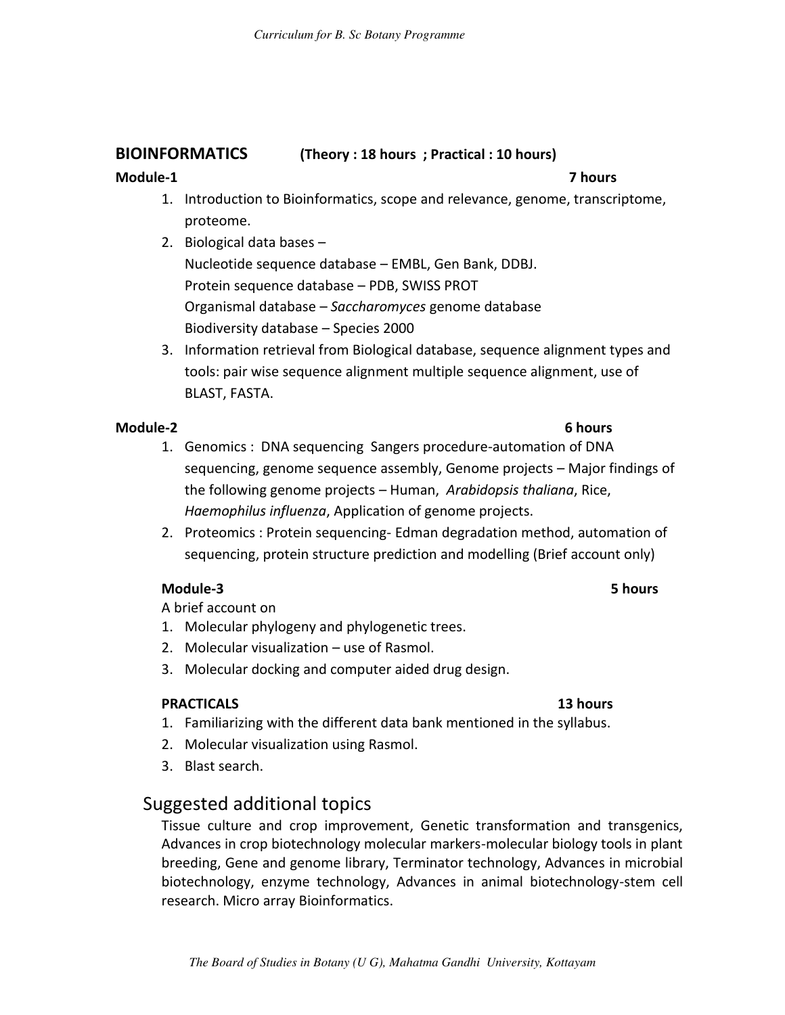#### **BIOINFORMATICS (Theory : 18 hours ; Practical : 10 hours)**

#### **Module-1 7 hours**

- 1. Introduction to Bioinformatics, scope and relevance, genome, transcriptome, proteome.
- 2. Biological data bases Nucleotide sequence database – EMBL, Gen Bank, DDBJ. Protein sequence database – PDB, SWISS PROT Organismal database – *Saccharomyces* genome database Biodiversity database – Species 2000
- 3. Information retrieval from Biological database, sequence alignment types and tools: pair wise sequence alignment multiple sequence alignment, use of BLAST, FASTA.

#### **Module-2** 6 hours

- 1. Genomics : DNA sequencing Sangers procedure-automation of DNA sequencing, genome sequence assembly, Genome projects – Major findings of the following genome projects – Human, *Arabidopsis thaliana*, Rice, *Haemophilus influenza*, Application of genome projects.
- 2. Proteomics : Protein sequencing- Edman degradation method, automation of sequencing, protein structure prediction and modelling (Brief account only)

#### **Module-3 5 hours**

A brief account on

- 1. Molecular phylogeny and phylogenetic trees.
- 2. Molecular visualization use of Rasmol.
- 3. Molecular docking and computer aided drug design.

#### **PRACTICALS 13 hours**

- 1. Familiarizing with the different data bank mentioned in the syllabus.
- 2. Molecular visualization using Rasmol.
- 3. Blast search.

## Suggested additional topics

Tissue culture and crop improvement, Genetic transformation and transgenics, Advances in crop biotechnology molecular markers-molecular biology tools in plant breeding, Gene and genome library, Terminator technology, Advances in microbial biotechnology, enzyme technology, Advances in animal biotechnology-stem cell research. Micro array Bioinformatics.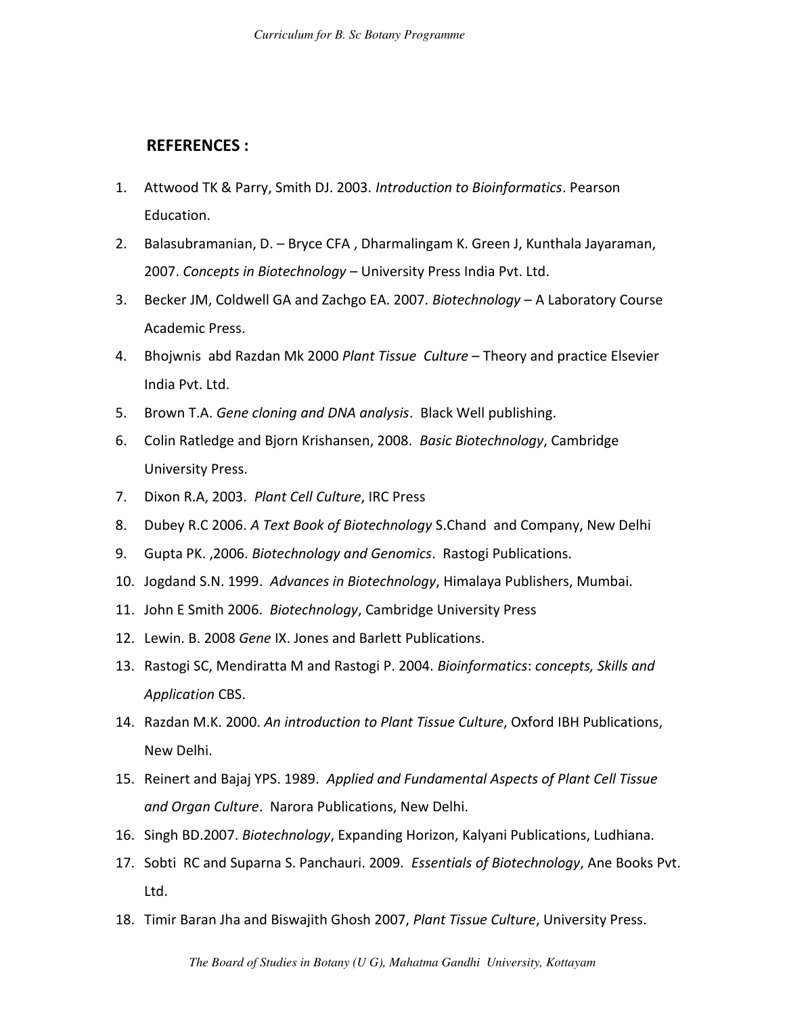#### **REFERENCES :**

- 1. Attwood TK & Parry, Smith DJ. 2003. *Introduction to Bioinformatics*. Pearson Education.
- 2. Balasubramanian, D. Bryce CFA , Dharmalingam K. Green J, Kunthala Jayaraman, 2007. *Concepts in Biotechnology* – University Press India Pvt. Ltd.
- 3. Becker JM, Coldwell GA and Zachgo EA. 2007. *Biotechnology* A Laboratory Course Academic Press.
- 4. Bhojwnis abd Razdan Mk 2000 *Plant Tissue Culture* Theory and practice Elsevier India Pvt. Ltd.
- 5. Brown T.A. *Gene cloning and DNA analysis*. Black Well publishing.
- 6. Colin Ratledge and Bjorn Krishansen, 2008. *Basic Biotechnology*, Cambridge University Press.
- 7. Dixon R.A, 2003. *Plant Cell Culture*, IRC Press
- 8. Dubey R.C 2006. *A Text Book of Biotechnology* S.Chand and Company, New Delhi
- 9. Gupta PK. ,2006. *Biotechnology and Genomics*. Rastogi Publications.
- 10. Jogdand S.N. 1999. *Advances in Biotechnology*, Himalaya Publishers, Mumbai.
- 11. John E Smith 2006. *Biotechnology*, Cambridge University Press
- 12. Lewin. B. 2008 *Gene* IX. Jones and Barlett Publications.
- 13. Rastogi SC, Mendiratta M and Rastogi P. 2004. *Bioinformatics*: *concepts, Skills and Application* CBS.
- 14. Razdan M.K. 2000. *An introduction to Plant Tissue Culture*, Oxford IBH Publications, New Delhi.
- 15. Reinert and Bajaj YPS. 1989. *Applied and Fundamental Aspects of Plant Cell Tissue and Organ Culture*. Narora Publications, New Delhi.
- 16. Singh BD.2007. *Biotechnology*, Expanding Horizon, Kalyani Publications, Ludhiana.
- 17. Sobti RC and Suparna S. Panchauri. 2009. *Essentials of Biotechnology*, Ane Books Pvt. Ltd.
- 18. Timir Baran Jha and Biswajith Ghosh 2007, *Plant Tissue Culture*, University Press.